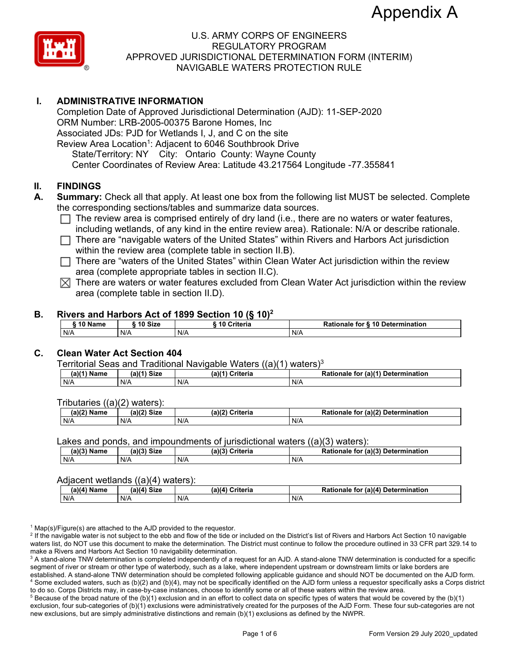

## **I. ADMINISTRATIVE INFORMATION**

Completion Date of Approved Jurisdictional Determination (AJD): 11-SEP-2020 ORM Number: LRB-2005-00375 Barone Homes, Inc Associated JDs: PJD for Wetlands I, J, and C on the site Review Area Location<sup>1</sup>: Adjacent to 6046 Southbrook Drive State/Territory: NY City: Ontario County: Wayne County Center Coordinates of Review Area: Latitude 43.217564 Longitude -77.355841

### **II. FINDINGS**

- **A. Summary:** Check all that apply. At least one box from the following list MUST be selected. Complete the corresponding sections/tables and summarize data sources.
	- $\Box$  The review area is comprised entirely of dry land (i.e., there are no waters or water features, including wetlands, of any kind in the entire review area). Rationale: N/A or describe rationale.
	- $\Box$  There are "navigable waters of the United States" within Rivers and Harbors Act jurisdiction within the review area (complete table in section II.B).
	- $\Box$  There are "waters of the United States" within Clean Water Act jurisdiction within the review area (complete appropriate tables in section II.C).
	- $\boxtimes$  There are waters or water features excluded from Clean Water Act jurisdiction within the review area (complete table in section II.D).

#### **B. Rivers and Harbors Act of 1899 Section 10 (§ 10)2**

| 10 Name | 10 Size | ----------<br>w<br>____<br>10 Criteria | for § 10 Determination<br>Rationale |
|---------|---------|----------------------------------------|-------------------------------------|
| N/A     | N/A     | N/A                                    | N/A                                 |

## **C. Clean Water Act Section 404**

Territorial Seas and Traditional Navigable Waters ((a)(1) waters)<sup>3</sup>

| (a) <sup>(4)</sup><br>Name | $(a)$ $(4)$<br>Size | (a)<br><b>Neite ein</b><br>ынена | (a)(1) Detern<br><b>Rationa</b><br>nination<br>tor<br>naie |
|----------------------------|---------------------|----------------------------------|------------------------------------------------------------|
| N/A                        | N/A                 | .<br>N/A                         | N/A                                                        |

Tributaries ((a)(2) waters):

| 1001<br>чњ | (a)(2)<br>C <sub>1</sub><br>31Z B | (a)<br>`riteria | $\ldots$ (a) <sup>(<math>\sim</math>)</sup><br><b>Determination</b><br>īΟ<br>onaie<br>панон |
|------------|-----------------------------------|-----------------|---------------------------------------------------------------------------------------------|
| N/A        | N/A                               | N/F             | N/A                                                                                         |

Lakes and ponds, and impoundments of jurisdictional waters ((a)(3) waters):

| $(A)(3)$ <sup>N</sup><br>ame. | $-1121$<br>Size | (a)(3)<br>?riteria | (2)<br>Determination<br>tor<br>nale |
|-------------------------------|-----------------|--------------------|-------------------------------------|
| N/A                           | N/A             | N/A                | N/A                                 |

#### Adjacent wetlands ((a)(4) waters):

| $(a)(4)$ Name | -----<br>$(a)(4)$ Size | .<br>(a)(4) Criteria | (a)(4) Determination<br>Rationale<br>, for |
|---------------|------------------------|----------------------|--------------------------------------------|
| N/A           | N/F                    | N/A                  | N/A                                        |

<sup>1</sup> Map(s)/Figure(s) are attached to the AJD provided to the requestor.

 $^2$  If the navigable water is not subject to the ebb and flow of the tide or included on the District's list of Rivers and Harbors Act Section 10 navigable waters list, do NOT use this document to make the determination. The District must continue to follow the procedure outlined in 33 CFR part 329.14 to make a Rivers and Harbors Act Section 10 navigability determination.

 $^3$  A stand-alone TNW determination is completed independently of a request for an AJD. A stand-alone TNW determination is conducted for a specific segment of river or stream or other type of waterbody, such as a lake, where independent upstream or downstream limits or lake borders are established. A stand-alone TNW determination should be completed following applicable guidance and should NOT be documented on the AJD form.  $^4$  Some excluded waters, such as (b)(2) and (b)(4), may not be specifically identified on the AJD form unless a requestor specifically asks a Corps district to do so. Corps Districts may, in case-by-case instances, choose to identify some or all of these waters within the review area. 5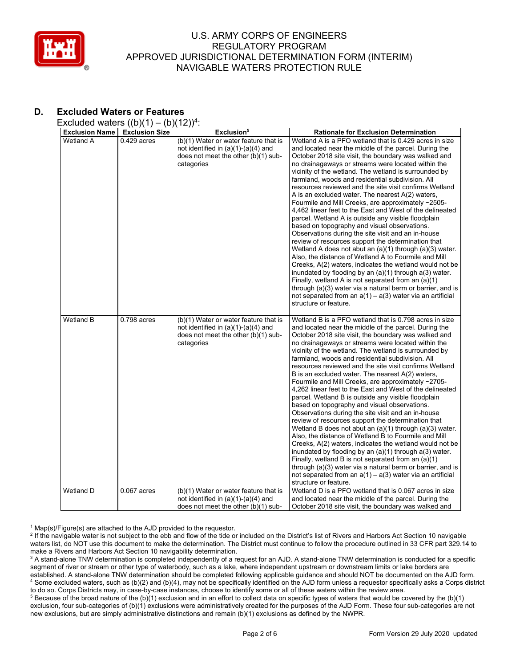

# **D. Excluded Waters or Features**

Excluded waters  $((b)(1) - (b)(12))^4$ :

| <b>Exclusion Name</b> | <b>Exclusion Size</b> | Exclusion <sup>5</sup>                                                                                                              | <b>Rationale for Exclusion Determination</b>                                                                                                                                                                                                                                                                                                                                                                                                                                                                                                                                                                                                                                                                                                                                                                                                                                                                                                                                                                                                                                                                                                                                                                                                              |
|-----------------------|-----------------------|-------------------------------------------------------------------------------------------------------------------------------------|-----------------------------------------------------------------------------------------------------------------------------------------------------------------------------------------------------------------------------------------------------------------------------------------------------------------------------------------------------------------------------------------------------------------------------------------------------------------------------------------------------------------------------------------------------------------------------------------------------------------------------------------------------------------------------------------------------------------------------------------------------------------------------------------------------------------------------------------------------------------------------------------------------------------------------------------------------------------------------------------------------------------------------------------------------------------------------------------------------------------------------------------------------------------------------------------------------------------------------------------------------------|
| <b>Wetland A</b>      | $0.429$ acres         | (b)(1) Water or water feature that is<br>not identified in (a)(1)-(a)(4) and<br>does not meet the other (b)(1) sub-<br>categories   | Wetland A is a PFO wetland that is 0.429 acres in size<br>and located near the middle of the parcel. During the<br>October 2018 site visit, the boundary was walked and<br>no drainageways or streams were located within the<br>vicinity of the wetland. The wetland is surrounded by<br>farmland, woods and residential subdivision. All<br>resources reviewed and the site visit confirms Wetland<br>A is an excluded water. The nearest A(2) waters,<br>Fourmile and Mill Creeks, are approximately ~2505-<br>4,462 linear feet to the East and West of the delineated<br>parcel. Wetland A is outside any visible floodplain<br>based on topography and visual observations.<br>Observations during the site visit and an in-house<br>review of resources support the determination that<br>Wetland A does not abut an $(a)(1)$ through $(a)(3)$ water.<br>Also, the distance of Wetland A to Fourmile and Mill<br>Creeks, A(2) waters, indicates the wetland would not be<br>inundated by flooding by an (a)(1) through a(3) water.<br>Finally, wetland A is not separated from an (a)(1)<br>through (a)(3) water via a natural berm or barrier, and is<br>not separated from an $a(1) - a(3)$ water via an artificial<br>structure or feature.     |
| Wetland B             | $0.798$ acres         | (b)(1) Water or water feature that is<br>not identified in $(a)(1)-(a)(4)$ and<br>does not meet the other (b)(1) sub-<br>categories | Wetland B is a PFO wetland that is 0.798 acres in size<br>and located near the middle of the parcel. During the<br>October 2018 site visit, the boundary was walked and<br>no drainageways or streams were located within the<br>vicinity of the wetland. The wetland is surrounded by<br>farmland, woods and residential subdivision. All<br>resources reviewed and the site visit confirms Wetland<br>B is an excluded water. The nearest A(2) waters,<br>Fourmile and Mill Creeks, are approximately ~2705-<br>4,262 linear feet to the East and West of the delineated<br>parcel. Wetland B is outside any visible floodplain<br>based on topography and visual observations.<br>Observations during the site visit and an in-house<br>review of resources support the determination that<br>Wetland B does not abut an $(a)(1)$ through $(a)(3)$ water.<br>Also, the distance of Wetland B to Fourmile and Mill<br>Creeks, A(2) waters, indicates the wetland would not be<br>inundated by flooding by an $(a)(1)$ through $a(3)$ water.<br>Finally, wetland B is not separated from an (a)(1)<br>through (a)(3) water via a natural berm or barrier, and is<br>not separated from an $a(1) - a(3)$ water via an artificial<br>structure or feature. |
| <b>Wetland D</b>      | $0.067$ acres         | (b)(1) Water or water feature that is<br>not identified in $(a)(1)-(a)(4)$ and<br>does not meet the other $(b)(1)$ sub-             | Wetland D is a PFO wetland that is 0.067 acres in size<br>and located near the middle of the parcel. During the<br>October 2018 site visit, the boundary was walked and                                                                                                                                                                                                                                                                                                                                                                                                                                                                                                                                                                                                                                                                                                                                                                                                                                                                                                                                                                                                                                                                                   |

 $1$  Map(s)/Figure(s) are attached to the AJD provided to the requestor.

<sup>2</sup> If the navigable water is not subject to the ebb and flow of the tide or included on the District's list of Rivers and Harbors Act Section 10 navigable waters list, do NOT use this document to make the determination. The District must continue to follow the procedure outlined in 33 CFR part 329.14 to make a Rivers and Harbors Act Section 10 navigability determination.

<sup>3</sup> A stand-alone TNW determination is completed independently of a request for an AJD. A stand-alone TNW determination is conducted for a specific segment of river or stream or other type of waterbody, such as a lake, where independent upstream or downstream limits or lake borders are established. A stand-alone TNW determination should be completed following applicable guidance and should NOT be documented on the AJD form. <sup>4</sup> Some excluded waters, such as (b)(2) and (b)(4), may not be specifically identified on the AJD form unless a requestor specifically asks a Corps district to do so. Corps Districts may, in case-by-case instances, choose to identify some or all of these waters within the review area.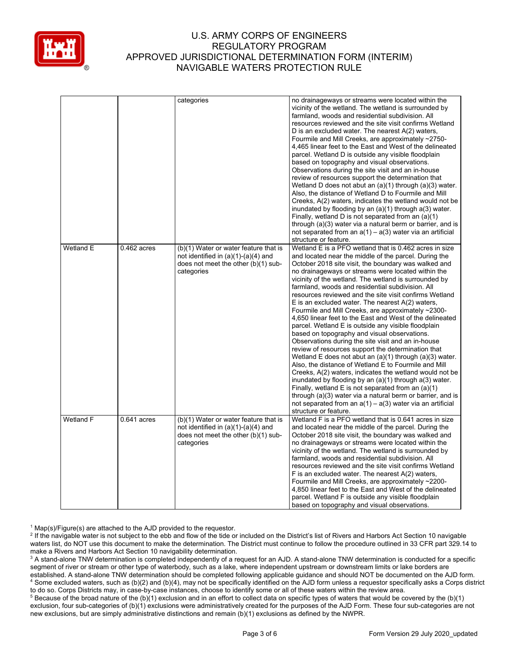

| vicinity of the wetland. The wetland is surrounded by<br>farmland, woods and residential subdivision. All<br>resources reviewed and the site visit confirms Wetland<br>D is an excluded water. The nearest A(2) waters,<br>Fourmile and Mill Creeks, are approximately ~2750-<br>4,465 linear feet to the East and West of the delineated<br>parcel. Wetland D is outside any visible floodplain<br>based on topography and visual observations.<br>Observations during the site visit and an in-house<br>review of resources support the determination that<br>Wetland D does not abut an $(a)(1)$ through $(a)(3)$ water.<br>Also, the distance of Wetland D to Fourmile and Mill<br>Creeks, A(2) waters, indicates the wetland would not be<br>inundated by flooding by an $(a)(1)$ through $a(3)$ water.<br>Finally, wetland D is not separated from an $(a)(1)$<br>through (a)(3) water via a natural berm or barrier, and is<br>not separated from an $a(1) - a(3)$ water via an artificial<br>structure or feature.<br>Wetland E<br>Wetland E is a PFO wetland that is 0.462 acres in size<br>$0.462$ acres<br>(b)(1) Water or water feature that is<br>and located near the middle of the parcel. During the<br>not identified in $(a)(1)-(a)(4)$ and<br>does not meet the other (b)(1) sub-<br>October 2018 site visit, the boundary was walked and<br>categories<br>no drainageways or streams were located within the<br>vicinity of the wetland. The wetland is surrounded by<br>farmland, woods and residential subdivision. All<br>resources reviewed and the site visit confirms Wetland<br>E is an excluded water. The nearest $A(2)$ waters,<br>Fourmile and Mill Creeks, are approximately ~2300-<br>4,650 linear feet to the East and West of the delineated<br>parcel. Wetland E is outside any visible floodplain<br>based on topography and visual observations.<br>Observations during the site visit and an in-house<br>review of resources support the determination that<br>Wetland E does not abut an (a)(1) through (a)(3) water.<br>Also, the distance of Wetland E to Fourmile and Mill<br>Creeks, A(2) waters, indicates the wetland would not be<br>inundated by flooding by an $(a)(1)$ through $a(3)$ water.<br>Finally, wetland E is not separated from an $(a)(1)$<br>through (a)(3) water via a natural berm or barrier, and is<br>not separated from an $a(1) - a(3)$ water via an artificial<br>structure or feature.<br>Wetland F<br>Wetland F is a PFO wetland that is 0.641 acres in size<br>$0.641$ acres<br>(b)(1) Water or water feature that is<br>not identified in $(a)(1)-(a)(4)$ and<br>and located near the middle of the parcel. During the<br>does not meet the other $(b)(1)$ sub-<br>October 2018 site visit, the boundary was walked and<br>no drainageways or streams were located within the<br>categories<br>vicinity of the wetland. The wetland is surrounded by<br>farmland, woods and residential subdivision. All<br>resources reviewed and the site visit confirms Wetland<br>F is an excluded water. The nearest A(2) waters,<br>Fourmile and Mill Creeks, are approximately ~2200-<br>4,850 linear feet to the East and West of the delineated<br>parcel. Wetland F is outside any visible floodplain |  | categories | no drainageways or streams were located within the |
|--------------------------------------------------------------------------------------------------------------------------------------------------------------------------------------------------------------------------------------------------------------------------------------------------------------------------------------------------------------------------------------------------------------------------------------------------------------------------------------------------------------------------------------------------------------------------------------------------------------------------------------------------------------------------------------------------------------------------------------------------------------------------------------------------------------------------------------------------------------------------------------------------------------------------------------------------------------------------------------------------------------------------------------------------------------------------------------------------------------------------------------------------------------------------------------------------------------------------------------------------------------------------------------------------------------------------------------------------------------------------------------------------------------------------------------------------------------------------------------------------------------------------------------------------------------------------------------------------------------------------------------------------------------------------------------------------------------------------------------------------------------------------------------------------------------------------------------------------------------------------------------------------------------------------------------------------------------------------------------------------------------------------------------------------------------------------------------------------------------------------------------------------------------------------------------------------------------------------------------------------------------------------------------------------------------------------------------------------------------------------------------------------------------------------------------------------------------------------------------------------------------------------------------------------------------------------------------------------------------------------------------------------------------------------------------------------------------------------------------------------------------------------------------------------------------------------------------------------------------------------------------------------------------------------------------------------------------------------------------------------------------------------------------------------------------------------------------------------------------------------------------------------------------------------------------------------------------------------------------------------------------------------|--|------------|----------------------------------------------------|
|                                                                                                                                                                                                                                                                                                                                                                                                                                                                                                                                                                                                                                                                                                                                                                                                                                                                                                                                                                                                                                                                                                                                                                                                                                                                                                                                                                                                                                                                                                                                                                                                                                                                                                                                                                                                                                                                                                                                                                                                                                                                                                                                                                                                                                                                                                                                                                                                                                                                                                                                                                                                                                                                                                                                                                                                                                                                                                                                                                                                                                                                                                                                                                                                                                                                          |  |            |                                                    |
|                                                                                                                                                                                                                                                                                                                                                                                                                                                                                                                                                                                                                                                                                                                                                                                                                                                                                                                                                                                                                                                                                                                                                                                                                                                                                                                                                                                                                                                                                                                                                                                                                                                                                                                                                                                                                                                                                                                                                                                                                                                                                                                                                                                                                                                                                                                                                                                                                                                                                                                                                                                                                                                                                                                                                                                                                                                                                                                                                                                                                                                                                                                                                                                                                                                                          |  |            |                                                    |
|                                                                                                                                                                                                                                                                                                                                                                                                                                                                                                                                                                                                                                                                                                                                                                                                                                                                                                                                                                                                                                                                                                                                                                                                                                                                                                                                                                                                                                                                                                                                                                                                                                                                                                                                                                                                                                                                                                                                                                                                                                                                                                                                                                                                                                                                                                                                                                                                                                                                                                                                                                                                                                                                                                                                                                                                                                                                                                                                                                                                                                                                                                                                                                                                                                                                          |  |            |                                                    |
|                                                                                                                                                                                                                                                                                                                                                                                                                                                                                                                                                                                                                                                                                                                                                                                                                                                                                                                                                                                                                                                                                                                                                                                                                                                                                                                                                                                                                                                                                                                                                                                                                                                                                                                                                                                                                                                                                                                                                                                                                                                                                                                                                                                                                                                                                                                                                                                                                                                                                                                                                                                                                                                                                                                                                                                                                                                                                                                                                                                                                                                                                                                                                                                                                                                                          |  |            |                                                    |
|                                                                                                                                                                                                                                                                                                                                                                                                                                                                                                                                                                                                                                                                                                                                                                                                                                                                                                                                                                                                                                                                                                                                                                                                                                                                                                                                                                                                                                                                                                                                                                                                                                                                                                                                                                                                                                                                                                                                                                                                                                                                                                                                                                                                                                                                                                                                                                                                                                                                                                                                                                                                                                                                                                                                                                                                                                                                                                                                                                                                                                                                                                                                                                                                                                                                          |  |            |                                                    |
|                                                                                                                                                                                                                                                                                                                                                                                                                                                                                                                                                                                                                                                                                                                                                                                                                                                                                                                                                                                                                                                                                                                                                                                                                                                                                                                                                                                                                                                                                                                                                                                                                                                                                                                                                                                                                                                                                                                                                                                                                                                                                                                                                                                                                                                                                                                                                                                                                                                                                                                                                                                                                                                                                                                                                                                                                                                                                                                                                                                                                                                                                                                                                                                                                                                                          |  |            |                                                    |
|                                                                                                                                                                                                                                                                                                                                                                                                                                                                                                                                                                                                                                                                                                                                                                                                                                                                                                                                                                                                                                                                                                                                                                                                                                                                                                                                                                                                                                                                                                                                                                                                                                                                                                                                                                                                                                                                                                                                                                                                                                                                                                                                                                                                                                                                                                                                                                                                                                                                                                                                                                                                                                                                                                                                                                                                                                                                                                                                                                                                                                                                                                                                                                                                                                                                          |  |            |                                                    |
|                                                                                                                                                                                                                                                                                                                                                                                                                                                                                                                                                                                                                                                                                                                                                                                                                                                                                                                                                                                                                                                                                                                                                                                                                                                                                                                                                                                                                                                                                                                                                                                                                                                                                                                                                                                                                                                                                                                                                                                                                                                                                                                                                                                                                                                                                                                                                                                                                                                                                                                                                                                                                                                                                                                                                                                                                                                                                                                                                                                                                                                                                                                                                                                                                                                                          |  |            |                                                    |
|                                                                                                                                                                                                                                                                                                                                                                                                                                                                                                                                                                                                                                                                                                                                                                                                                                                                                                                                                                                                                                                                                                                                                                                                                                                                                                                                                                                                                                                                                                                                                                                                                                                                                                                                                                                                                                                                                                                                                                                                                                                                                                                                                                                                                                                                                                                                                                                                                                                                                                                                                                                                                                                                                                                                                                                                                                                                                                                                                                                                                                                                                                                                                                                                                                                                          |  |            |                                                    |
|                                                                                                                                                                                                                                                                                                                                                                                                                                                                                                                                                                                                                                                                                                                                                                                                                                                                                                                                                                                                                                                                                                                                                                                                                                                                                                                                                                                                                                                                                                                                                                                                                                                                                                                                                                                                                                                                                                                                                                                                                                                                                                                                                                                                                                                                                                                                                                                                                                                                                                                                                                                                                                                                                                                                                                                                                                                                                                                                                                                                                                                                                                                                                                                                                                                                          |  |            |                                                    |
|                                                                                                                                                                                                                                                                                                                                                                                                                                                                                                                                                                                                                                                                                                                                                                                                                                                                                                                                                                                                                                                                                                                                                                                                                                                                                                                                                                                                                                                                                                                                                                                                                                                                                                                                                                                                                                                                                                                                                                                                                                                                                                                                                                                                                                                                                                                                                                                                                                                                                                                                                                                                                                                                                                                                                                                                                                                                                                                                                                                                                                                                                                                                                                                                                                                                          |  |            |                                                    |
|                                                                                                                                                                                                                                                                                                                                                                                                                                                                                                                                                                                                                                                                                                                                                                                                                                                                                                                                                                                                                                                                                                                                                                                                                                                                                                                                                                                                                                                                                                                                                                                                                                                                                                                                                                                                                                                                                                                                                                                                                                                                                                                                                                                                                                                                                                                                                                                                                                                                                                                                                                                                                                                                                                                                                                                                                                                                                                                                                                                                                                                                                                                                                                                                                                                                          |  |            |                                                    |
|                                                                                                                                                                                                                                                                                                                                                                                                                                                                                                                                                                                                                                                                                                                                                                                                                                                                                                                                                                                                                                                                                                                                                                                                                                                                                                                                                                                                                                                                                                                                                                                                                                                                                                                                                                                                                                                                                                                                                                                                                                                                                                                                                                                                                                                                                                                                                                                                                                                                                                                                                                                                                                                                                                                                                                                                                                                                                                                                                                                                                                                                                                                                                                                                                                                                          |  |            |                                                    |
|                                                                                                                                                                                                                                                                                                                                                                                                                                                                                                                                                                                                                                                                                                                                                                                                                                                                                                                                                                                                                                                                                                                                                                                                                                                                                                                                                                                                                                                                                                                                                                                                                                                                                                                                                                                                                                                                                                                                                                                                                                                                                                                                                                                                                                                                                                                                                                                                                                                                                                                                                                                                                                                                                                                                                                                                                                                                                                                                                                                                                                                                                                                                                                                                                                                                          |  |            |                                                    |
|                                                                                                                                                                                                                                                                                                                                                                                                                                                                                                                                                                                                                                                                                                                                                                                                                                                                                                                                                                                                                                                                                                                                                                                                                                                                                                                                                                                                                                                                                                                                                                                                                                                                                                                                                                                                                                                                                                                                                                                                                                                                                                                                                                                                                                                                                                                                                                                                                                                                                                                                                                                                                                                                                                                                                                                                                                                                                                                                                                                                                                                                                                                                                                                                                                                                          |  |            |                                                    |
|                                                                                                                                                                                                                                                                                                                                                                                                                                                                                                                                                                                                                                                                                                                                                                                                                                                                                                                                                                                                                                                                                                                                                                                                                                                                                                                                                                                                                                                                                                                                                                                                                                                                                                                                                                                                                                                                                                                                                                                                                                                                                                                                                                                                                                                                                                                                                                                                                                                                                                                                                                                                                                                                                                                                                                                                                                                                                                                                                                                                                                                                                                                                                                                                                                                                          |  |            |                                                    |
|                                                                                                                                                                                                                                                                                                                                                                                                                                                                                                                                                                                                                                                                                                                                                                                                                                                                                                                                                                                                                                                                                                                                                                                                                                                                                                                                                                                                                                                                                                                                                                                                                                                                                                                                                                                                                                                                                                                                                                                                                                                                                                                                                                                                                                                                                                                                                                                                                                                                                                                                                                                                                                                                                                                                                                                                                                                                                                                                                                                                                                                                                                                                                                                                                                                                          |  |            |                                                    |
|                                                                                                                                                                                                                                                                                                                                                                                                                                                                                                                                                                                                                                                                                                                                                                                                                                                                                                                                                                                                                                                                                                                                                                                                                                                                                                                                                                                                                                                                                                                                                                                                                                                                                                                                                                                                                                                                                                                                                                                                                                                                                                                                                                                                                                                                                                                                                                                                                                                                                                                                                                                                                                                                                                                                                                                                                                                                                                                                                                                                                                                                                                                                                                                                                                                                          |  |            |                                                    |
|                                                                                                                                                                                                                                                                                                                                                                                                                                                                                                                                                                                                                                                                                                                                                                                                                                                                                                                                                                                                                                                                                                                                                                                                                                                                                                                                                                                                                                                                                                                                                                                                                                                                                                                                                                                                                                                                                                                                                                                                                                                                                                                                                                                                                                                                                                                                                                                                                                                                                                                                                                                                                                                                                                                                                                                                                                                                                                                                                                                                                                                                                                                                                                                                                                                                          |  |            |                                                    |
|                                                                                                                                                                                                                                                                                                                                                                                                                                                                                                                                                                                                                                                                                                                                                                                                                                                                                                                                                                                                                                                                                                                                                                                                                                                                                                                                                                                                                                                                                                                                                                                                                                                                                                                                                                                                                                                                                                                                                                                                                                                                                                                                                                                                                                                                                                                                                                                                                                                                                                                                                                                                                                                                                                                                                                                                                                                                                                                                                                                                                                                                                                                                                                                                                                                                          |  |            |                                                    |
|                                                                                                                                                                                                                                                                                                                                                                                                                                                                                                                                                                                                                                                                                                                                                                                                                                                                                                                                                                                                                                                                                                                                                                                                                                                                                                                                                                                                                                                                                                                                                                                                                                                                                                                                                                                                                                                                                                                                                                                                                                                                                                                                                                                                                                                                                                                                                                                                                                                                                                                                                                                                                                                                                                                                                                                                                                                                                                                                                                                                                                                                                                                                                                                                                                                                          |  |            |                                                    |
|                                                                                                                                                                                                                                                                                                                                                                                                                                                                                                                                                                                                                                                                                                                                                                                                                                                                                                                                                                                                                                                                                                                                                                                                                                                                                                                                                                                                                                                                                                                                                                                                                                                                                                                                                                                                                                                                                                                                                                                                                                                                                                                                                                                                                                                                                                                                                                                                                                                                                                                                                                                                                                                                                                                                                                                                                                                                                                                                                                                                                                                                                                                                                                                                                                                                          |  |            |                                                    |
|                                                                                                                                                                                                                                                                                                                                                                                                                                                                                                                                                                                                                                                                                                                                                                                                                                                                                                                                                                                                                                                                                                                                                                                                                                                                                                                                                                                                                                                                                                                                                                                                                                                                                                                                                                                                                                                                                                                                                                                                                                                                                                                                                                                                                                                                                                                                                                                                                                                                                                                                                                                                                                                                                                                                                                                                                                                                                                                                                                                                                                                                                                                                                                                                                                                                          |  |            |                                                    |
|                                                                                                                                                                                                                                                                                                                                                                                                                                                                                                                                                                                                                                                                                                                                                                                                                                                                                                                                                                                                                                                                                                                                                                                                                                                                                                                                                                                                                                                                                                                                                                                                                                                                                                                                                                                                                                                                                                                                                                                                                                                                                                                                                                                                                                                                                                                                                                                                                                                                                                                                                                                                                                                                                                                                                                                                                                                                                                                                                                                                                                                                                                                                                                                                                                                                          |  |            |                                                    |
|                                                                                                                                                                                                                                                                                                                                                                                                                                                                                                                                                                                                                                                                                                                                                                                                                                                                                                                                                                                                                                                                                                                                                                                                                                                                                                                                                                                                                                                                                                                                                                                                                                                                                                                                                                                                                                                                                                                                                                                                                                                                                                                                                                                                                                                                                                                                                                                                                                                                                                                                                                                                                                                                                                                                                                                                                                                                                                                                                                                                                                                                                                                                                                                                                                                                          |  |            |                                                    |
|                                                                                                                                                                                                                                                                                                                                                                                                                                                                                                                                                                                                                                                                                                                                                                                                                                                                                                                                                                                                                                                                                                                                                                                                                                                                                                                                                                                                                                                                                                                                                                                                                                                                                                                                                                                                                                                                                                                                                                                                                                                                                                                                                                                                                                                                                                                                                                                                                                                                                                                                                                                                                                                                                                                                                                                                                                                                                                                                                                                                                                                                                                                                                                                                                                                                          |  |            |                                                    |
|                                                                                                                                                                                                                                                                                                                                                                                                                                                                                                                                                                                                                                                                                                                                                                                                                                                                                                                                                                                                                                                                                                                                                                                                                                                                                                                                                                                                                                                                                                                                                                                                                                                                                                                                                                                                                                                                                                                                                                                                                                                                                                                                                                                                                                                                                                                                                                                                                                                                                                                                                                                                                                                                                                                                                                                                                                                                                                                                                                                                                                                                                                                                                                                                                                                                          |  |            |                                                    |
|                                                                                                                                                                                                                                                                                                                                                                                                                                                                                                                                                                                                                                                                                                                                                                                                                                                                                                                                                                                                                                                                                                                                                                                                                                                                                                                                                                                                                                                                                                                                                                                                                                                                                                                                                                                                                                                                                                                                                                                                                                                                                                                                                                                                                                                                                                                                                                                                                                                                                                                                                                                                                                                                                                                                                                                                                                                                                                                                                                                                                                                                                                                                                                                                                                                                          |  |            |                                                    |
|                                                                                                                                                                                                                                                                                                                                                                                                                                                                                                                                                                                                                                                                                                                                                                                                                                                                                                                                                                                                                                                                                                                                                                                                                                                                                                                                                                                                                                                                                                                                                                                                                                                                                                                                                                                                                                                                                                                                                                                                                                                                                                                                                                                                                                                                                                                                                                                                                                                                                                                                                                                                                                                                                                                                                                                                                                                                                                                                                                                                                                                                                                                                                                                                                                                                          |  |            |                                                    |
|                                                                                                                                                                                                                                                                                                                                                                                                                                                                                                                                                                                                                                                                                                                                                                                                                                                                                                                                                                                                                                                                                                                                                                                                                                                                                                                                                                                                                                                                                                                                                                                                                                                                                                                                                                                                                                                                                                                                                                                                                                                                                                                                                                                                                                                                                                                                                                                                                                                                                                                                                                                                                                                                                                                                                                                                                                                                                                                                                                                                                                                                                                                                                                                                                                                                          |  |            |                                                    |
|                                                                                                                                                                                                                                                                                                                                                                                                                                                                                                                                                                                                                                                                                                                                                                                                                                                                                                                                                                                                                                                                                                                                                                                                                                                                                                                                                                                                                                                                                                                                                                                                                                                                                                                                                                                                                                                                                                                                                                                                                                                                                                                                                                                                                                                                                                                                                                                                                                                                                                                                                                                                                                                                                                                                                                                                                                                                                                                                                                                                                                                                                                                                                                                                                                                                          |  |            |                                                    |
|                                                                                                                                                                                                                                                                                                                                                                                                                                                                                                                                                                                                                                                                                                                                                                                                                                                                                                                                                                                                                                                                                                                                                                                                                                                                                                                                                                                                                                                                                                                                                                                                                                                                                                                                                                                                                                                                                                                                                                                                                                                                                                                                                                                                                                                                                                                                                                                                                                                                                                                                                                                                                                                                                                                                                                                                                                                                                                                                                                                                                                                                                                                                                                                                                                                                          |  |            |                                                    |
|                                                                                                                                                                                                                                                                                                                                                                                                                                                                                                                                                                                                                                                                                                                                                                                                                                                                                                                                                                                                                                                                                                                                                                                                                                                                                                                                                                                                                                                                                                                                                                                                                                                                                                                                                                                                                                                                                                                                                                                                                                                                                                                                                                                                                                                                                                                                                                                                                                                                                                                                                                                                                                                                                                                                                                                                                                                                                                                                                                                                                                                                                                                                                                                                                                                                          |  |            |                                                    |
|                                                                                                                                                                                                                                                                                                                                                                                                                                                                                                                                                                                                                                                                                                                                                                                                                                                                                                                                                                                                                                                                                                                                                                                                                                                                                                                                                                                                                                                                                                                                                                                                                                                                                                                                                                                                                                                                                                                                                                                                                                                                                                                                                                                                                                                                                                                                                                                                                                                                                                                                                                                                                                                                                                                                                                                                                                                                                                                                                                                                                                                                                                                                                                                                                                                                          |  |            |                                                    |
|                                                                                                                                                                                                                                                                                                                                                                                                                                                                                                                                                                                                                                                                                                                                                                                                                                                                                                                                                                                                                                                                                                                                                                                                                                                                                                                                                                                                                                                                                                                                                                                                                                                                                                                                                                                                                                                                                                                                                                                                                                                                                                                                                                                                                                                                                                                                                                                                                                                                                                                                                                                                                                                                                                                                                                                                                                                                                                                                                                                                                                                                                                                                                                                                                                                                          |  |            |                                                    |
|                                                                                                                                                                                                                                                                                                                                                                                                                                                                                                                                                                                                                                                                                                                                                                                                                                                                                                                                                                                                                                                                                                                                                                                                                                                                                                                                                                                                                                                                                                                                                                                                                                                                                                                                                                                                                                                                                                                                                                                                                                                                                                                                                                                                                                                                                                                                                                                                                                                                                                                                                                                                                                                                                                                                                                                                                                                                                                                                                                                                                                                                                                                                                                                                                                                                          |  |            |                                                    |
|                                                                                                                                                                                                                                                                                                                                                                                                                                                                                                                                                                                                                                                                                                                                                                                                                                                                                                                                                                                                                                                                                                                                                                                                                                                                                                                                                                                                                                                                                                                                                                                                                                                                                                                                                                                                                                                                                                                                                                                                                                                                                                                                                                                                                                                                                                                                                                                                                                                                                                                                                                                                                                                                                                                                                                                                                                                                                                                                                                                                                                                                                                                                                                                                                                                                          |  |            |                                                    |
|                                                                                                                                                                                                                                                                                                                                                                                                                                                                                                                                                                                                                                                                                                                                                                                                                                                                                                                                                                                                                                                                                                                                                                                                                                                                                                                                                                                                                                                                                                                                                                                                                                                                                                                                                                                                                                                                                                                                                                                                                                                                                                                                                                                                                                                                                                                                                                                                                                                                                                                                                                                                                                                                                                                                                                                                                                                                                                                                                                                                                                                                                                                                                                                                                                                                          |  |            |                                                    |
|                                                                                                                                                                                                                                                                                                                                                                                                                                                                                                                                                                                                                                                                                                                                                                                                                                                                                                                                                                                                                                                                                                                                                                                                                                                                                                                                                                                                                                                                                                                                                                                                                                                                                                                                                                                                                                                                                                                                                                                                                                                                                                                                                                                                                                                                                                                                                                                                                                                                                                                                                                                                                                                                                                                                                                                                                                                                                                                                                                                                                                                                                                                                                                                                                                                                          |  |            |                                                    |
|                                                                                                                                                                                                                                                                                                                                                                                                                                                                                                                                                                                                                                                                                                                                                                                                                                                                                                                                                                                                                                                                                                                                                                                                                                                                                                                                                                                                                                                                                                                                                                                                                                                                                                                                                                                                                                                                                                                                                                                                                                                                                                                                                                                                                                                                                                                                                                                                                                                                                                                                                                                                                                                                                                                                                                                                                                                                                                                                                                                                                                                                                                                                                                                                                                                                          |  |            |                                                    |
|                                                                                                                                                                                                                                                                                                                                                                                                                                                                                                                                                                                                                                                                                                                                                                                                                                                                                                                                                                                                                                                                                                                                                                                                                                                                                                                                                                                                                                                                                                                                                                                                                                                                                                                                                                                                                                                                                                                                                                                                                                                                                                                                                                                                                                                                                                                                                                                                                                                                                                                                                                                                                                                                                                                                                                                                                                                                                                                                                                                                                                                                                                                                                                                                                                                                          |  |            |                                                    |
|                                                                                                                                                                                                                                                                                                                                                                                                                                                                                                                                                                                                                                                                                                                                                                                                                                                                                                                                                                                                                                                                                                                                                                                                                                                                                                                                                                                                                                                                                                                                                                                                                                                                                                                                                                                                                                                                                                                                                                                                                                                                                                                                                                                                                                                                                                                                                                                                                                                                                                                                                                                                                                                                                                                                                                                                                                                                                                                                                                                                                                                                                                                                                                                                                                                                          |  |            |                                                    |
|                                                                                                                                                                                                                                                                                                                                                                                                                                                                                                                                                                                                                                                                                                                                                                                                                                                                                                                                                                                                                                                                                                                                                                                                                                                                                                                                                                                                                                                                                                                                                                                                                                                                                                                                                                                                                                                                                                                                                                                                                                                                                                                                                                                                                                                                                                                                                                                                                                                                                                                                                                                                                                                                                                                                                                                                                                                                                                                                                                                                                                                                                                                                                                                                                                                                          |  |            |                                                    |
|                                                                                                                                                                                                                                                                                                                                                                                                                                                                                                                                                                                                                                                                                                                                                                                                                                                                                                                                                                                                                                                                                                                                                                                                                                                                                                                                                                                                                                                                                                                                                                                                                                                                                                                                                                                                                                                                                                                                                                                                                                                                                                                                                                                                                                                                                                                                                                                                                                                                                                                                                                                                                                                                                                                                                                                                                                                                                                                                                                                                                                                                                                                                                                                                                                                                          |  |            |                                                    |
|                                                                                                                                                                                                                                                                                                                                                                                                                                                                                                                                                                                                                                                                                                                                                                                                                                                                                                                                                                                                                                                                                                                                                                                                                                                                                                                                                                                                                                                                                                                                                                                                                                                                                                                                                                                                                                                                                                                                                                                                                                                                                                                                                                                                                                                                                                                                                                                                                                                                                                                                                                                                                                                                                                                                                                                                                                                                                                                                                                                                                                                                                                                                                                                                                                                                          |  |            |                                                    |
|                                                                                                                                                                                                                                                                                                                                                                                                                                                                                                                                                                                                                                                                                                                                                                                                                                                                                                                                                                                                                                                                                                                                                                                                                                                                                                                                                                                                                                                                                                                                                                                                                                                                                                                                                                                                                                                                                                                                                                                                                                                                                                                                                                                                                                                                                                                                                                                                                                                                                                                                                                                                                                                                                                                                                                                                                                                                                                                                                                                                                                                                                                                                                                                                                                                                          |  |            |                                                    |
|                                                                                                                                                                                                                                                                                                                                                                                                                                                                                                                                                                                                                                                                                                                                                                                                                                                                                                                                                                                                                                                                                                                                                                                                                                                                                                                                                                                                                                                                                                                                                                                                                                                                                                                                                                                                                                                                                                                                                                                                                                                                                                                                                                                                                                                                                                                                                                                                                                                                                                                                                                                                                                                                                                                                                                                                                                                                                                                                                                                                                                                                                                                                                                                                                                                                          |  |            |                                                    |
|                                                                                                                                                                                                                                                                                                                                                                                                                                                                                                                                                                                                                                                                                                                                                                                                                                                                                                                                                                                                                                                                                                                                                                                                                                                                                                                                                                                                                                                                                                                                                                                                                                                                                                                                                                                                                                                                                                                                                                                                                                                                                                                                                                                                                                                                                                                                                                                                                                                                                                                                                                                                                                                                                                                                                                                                                                                                                                                                                                                                                                                                                                                                                                                                                                                                          |  |            |                                                    |
|                                                                                                                                                                                                                                                                                                                                                                                                                                                                                                                                                                                                                                                                                                                                                                                                                                                                                                                                                                                                                                                                                                                                                                                                                                                                                                                                                                                                                                                                                                                                                                                                                                                                                                                                                                                                                                                                                                                                                                                                                                                                                                                                                                                                                                                                                                                                                                                                                                                                                                                                                                                                                                                                                                                                                                                                                                                                                                                                                                                                                                                                                                                                                                                                                                                                          |  |            |                                                    |
|                                                                                                                                                                                                                                                                                                                                                                                                                                                                                                                                                                                                                                                                                                                                                                                                                                                                                                                                                                                                                                                                                                                                                                                                                                                                                                                                                                                                                                                                                                                                                                                                                                                                                                                                                                                                                                                                                                                                                                                                                                                                                                                                                                                                                                                                                                                                                                                                                                                                                                                                                                                                                                                                                                                                                                                                                                                                                                                                                                                                                                                                                                                                                                                                                                                                          |  |            |                                                    |
|                                                                                                                                                                                                                                                                                                                                                                                                                                                                                                                                                                                                                                                                                                                                                                                                                                                                                                                                                                                                                                                                                                                                                                                                                                                                                                                                                                                                                                                                                                                                                                                                                                                                                                                                                                                                                                                                                                                                                                                                                                                                                                                                                                                                                                                                                                                                                                                                                                                                                                                                                                                                                                                                                                                                                                                                                                                                                                                                                                                                                                                                                                                                                                                                                                                                          |  |            |                                                    |
|                                                                                                                                                                                                                                                                                                                                                                                                                                                                                                                                                                                                                                                                                                                                                                                                                                                                                                                                                                                                                                                                                                                                                                                                                                                                                                                                                                                                                                                                                                                                                                                                                                                                                                                                                                                                                                                                                                                                                                                                                                                                                                                                                                                                                                                                                                                                                                                                                                                                                                                                                                                                                                                                                                                                                                                                                                                                                                                                                                                                                                                                                                                                                                                                                                                                          |  |            |                                                    |
|                                                                                                                                                                                                                                                                                                                                                                                                                                                                                                                                                                                                                                                                                                                                                                                                                                                                                                                                                                                                                                                                                                                                                                                                                                                                                                                                                                                                                                                                                                                                                                                                                                                                                                                                                                                                                                                                                                                                                                                                                                                                                                                                                                                                                                                                                                                                                                                                                                                                                                                                                                                                                                                                                                                                                                                                                                                                                                                                                                                                                                                                                                                                                                                                                                                                          |  |            | based on topography and visual observations.       |

 $1$  Map(s)/Figure(s) are attached to the AJD provided to the requestor.

<sup>2</sup> If the navigable water is not subject to the ebb and flow of the tide or included on the District's list of Rivers and Harbors Act Section 10 navigable waters list, do NOT use this document to make the determination. The District must continue to follow the procedure outlined in 33 CFR part 329.14 to make a Rivers and Harbors Act Section 10 navigability determination.

<sup>3</sup> A stand-alone TNW determination is completed independently of a request for an AJD. A stand-alone TNW determination is conducted for a specific segment of river or stream or other type of waterbody, such as a lake, where independent upstream or downstream limits or lake borders are established. A stand-alone TNW determination should be completed following applicable guidance and should NOT be documented on the AJD form. <sup>4</sup> Some excluded waters, such as (b)(2) and (b)(4), may not be specifically identified on the AJD form unless a requestor specifically asks a Corps district to do so. Corps Districts may, in case-by-case instances, choose to identify some or all of these waters within the review area.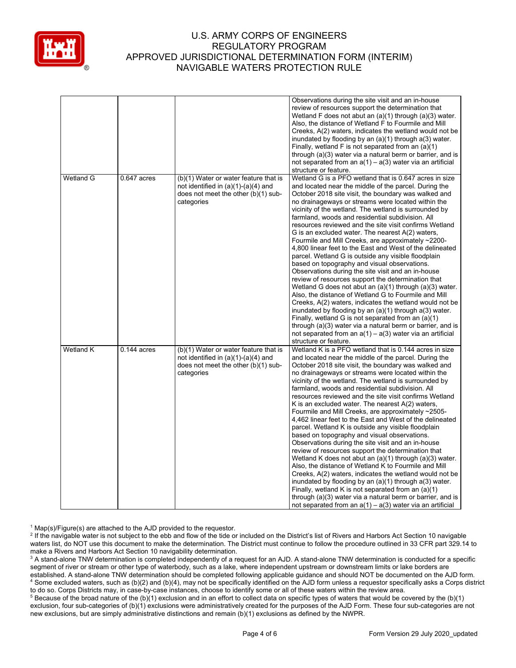

| review of resources support the determination that<br>Wetland F does not abut an $(a)(1)$ through $(a)(3)$ water.<br>Also, the distance of Wetland F to Fourmile and Mill<br>inundated by flooding by an $(a)(1)$ through $a(3)$ water.<br>Finally, wetland F is not separated from an $(a)(1)$<br>through (a)(3) water via a natural berm or barrier, and is<br>not separated from an $a(1) - a(3)$ water via an artificial<br>structure or feature.<br>Wetland G<br>Wetland G is a PFO wetland that is 0.647 acres in size<br>$0.647$ acres<br>(b)(1) Water or water feature that is<br>not identified in $(a)(1)-(a)(4)$ and<br>and located near the middle of the parcel. During the<br>does not meet the other (b)(1) sub-<br>October 2018 site visit, the boundary was walked and<br>categories<br>no drainageways or streams were located within the<br>vicinity of the wetland. The wetland is surrounded by<br>farmland, woods and residential subdivision. All<br>resources reviewed and the site visit confirms Wetland<br>G is an excluded water. The nearest A(2) waters,<br>Fourmile and Mill Creeks, are approximately ~2200-<br>4,800 linear feet to the East and West of the delineated<br>parcel. Wetland G is outside any visible floodplain<br>based on topography and visual observations.<br>Observations during the site visit and an in-house<br>review of resources support the determination that<br>Wetland G does not abut an $(a)(1)$ through $(a)(3)$ water.<br>Also, the distance of Wetland G to Fourmile and Mill<br>Creeks, A(2) waters, indicates the wetland would not be<br>inundated by flooding by an $(a)(1)$ through $a(3)$ water.<br>Finally, wetland G is not separated from an (a)(1)<br>through (a)(3) water via a natural berm or barrier, and is<br>not separated from an $a(1) - a(3)$ water via an artificial<br>structure or feature.<br>Wetland K<br>Wetland K is a PFO wetland that is 0.144 acres in size<br>$0.144$ acres<br>(b)(1) Water or water feature that is<br>not identified in $(a)(1)-(a)(4)$ and<br>and located near the middle of the parcel. During the<br>does not meet the other (b)(1) sub-<br>October 2018 site visit, the boundary was walked and<br>categories<br>no drainageways or streams were located within the<br>vicinity of the wetland. The wetland is surrounded by<br>farmland, woods and residential subdivision. All<br>resources reviewed and the site visit confirms Wetland<br>K is an excluded water. The nearest $A(2)$ waters,<br>Fourmile and Mill Creeks, are approximately ~2505-<br>4,462 linear feet to the East and West of the delineated<br>parcel. Wetland K is outside any visible floodplain<br>based on topography and visual observations.<br>Observations during the site visit and an in-house | review of resources support the determination that<br>Wetland K does not abut an (a)(1) through (a)(3) water.<br>Also, the distance of Wetland K to Fourmile and Mill<br>Creeks, A(2) waters, indicates the wetland would not be<br>inundated by flooding by an $(a)(1)$ through $a(3)$ water.<br>Finally, wetland K is not separated from an $(a)(1)$<br>through (a)(3) water via a natural berm or barrier, and is |  | Observations during the site visit and an in-house |
|-----------------------------------------------------------------------------------------------------------------------------------------------------------------------------------------------------------------------------------------------------------------------------------------------------------------------------------------------------------------------------------------------------------------------------------------------------------------------------------------------------------------------------------------------------------------------------------------------------------------------------------------------------------------------------------------------------------------------------------------------------------------------------------------------------------------------------------------------------------------------------------------------------------------------------------------------------------------------------------------------------------------------------------------------------------------------------------------------------------------------------------------------------------------------------------------------------------------------------------------------------------------------------------------------------------------------------------------------------------------------------------------------------------------------------------------------------------------------------------------------------------------------------------------------------------------------------------------------------------------------------------------------------------------------------------------------------------------------------------------------------------------------------------------------------------------------------------------------------------------------------------------------------------------------------------------------------------------------------------------------------------------------------------------------------------------------------------------------------------------------------------------------------------------------------------------------------------------------------------------------------------------------------------------------------------------------------------------------------------------------------------------------------------------------------------------------------------------------------------------------------------------------------------------------------------------------------------------------------------------------------------------------------------------------------------------------------------------------------------------------------------------------------------------------------------|----------------------------------------------------------------------------------------------------------------------------------------------------------------------------------------------------------------------------------------------------------------------------------------------------------------------------------------------------------------------------------------------------------------------|--|----------------------------------------------------|
|                                                                                                                                                                                                                                                                                                                                                                                                                                                                                                                                                                                                                                                                                                                                                                                                                                                                                                                                                                                                                                                                                                                                                                                                                                                                                                                                                                                                                                                                                                                                                                                                                                                                                                                                                                                                                                                                                                                                                                                                                                                                                                                                                                                                                                                                                                                                                                                                                                                                                                                                                                                                                                                                                                                                                                                                           |                                                                                                                                                                                                                                                                                                                                                                                                                      |  |                                                    |
| Creeks, A(2) waters, indicates the wetland would not be                                                                                                                                                                                                                                                                                                                                                                                                                                                                                                                                                                                                                                                                                                                                                                                                                                                                                                                                                                                                                                                                                                                                                                                                                                                                                                                                                                                                                                                                                                                                                                                                                                                                                                                                                                                                                                                                                                                                                                                                                                                                                                                                                                                                                                                                                                                                                                                                                                                                                                                                                                                                                                                                                                                                                   |                                                                                                                                                                                                                                                                                                                                                                                                                      |  |                                                    |
|                                                                                                                                                                                                                                                                                                                                                                                                                                                                                                                                                                                                                                                                                                                                                                                                                                                                                                                                                                                                                                                                                                                                                                                                                                                                                                                                                                                                                                                                                                                                                                                                                                                                                                                                                                                                                                                                                                                                                                                                                                                                                                                                                                                                                                                                                                                                                                                                                                                                                                                                                                                                                                                                                                                                                                                                           |                                                                                                                                                                                                                                                                                                                                                                                                                      |  |                                                    |
|                                                                                                                                                                                                                                                                                                                                                                                                                                                                                                                                                                                                                                                                                                                                                                                                                                                                                                                                                                                                                                                                                                                                                                                                                                                                                                                                                                                                                                                                                                                                                                                                                                                                                                                                                                                                                                                                                                                                                                                                                                                                                                                                                                                                                                                                                                                                                                                                                                                                                                                                                                                                                                                                                                                                                                                                           |                                                                                                                                                                                                                                                                                                                                                                                                                      |  |                                                    |
|                                                                                                                                                                                                                                                                                                                                                                                                                                                                                                                                                                                                                                                                                                                                                                                                                                                                                                                                                                                                                                                                                                                                                                                                                                                                                                                                                                                                                                                                                                                                                                                                                                                                                                                                                                                                                                                                                                                                                                                                                                                                                                                                                                                                                                                                                                                                                                                                                                                                                                                                                                                                                                                                                                                                                                                                           |                                                                                                                                                                                                                                                                                                                                                                                                                      |  |                                                    |
|                                                                                                                                                                                                                                                                                                                                                                                                                                                                                                                                                                                                                                                                                                                                                                                                                                                                                                                                                                                                                                                                                                                                                                                                                                                                                                                                                                                                                                                                                                                                                                                                                                                                                                                                                                                                                                                                                                                                                                                                                                                                                                                                                                                                                                                                                                                                                                                                                                                                                                                                                                                                                                                                                                                                                                                                           |                                                                                                                                                                                                                                                                                                                                                                                                                      |  |                                                    |
|                                                                                                                                                                                                                                                                                                                                                                                                                                                                                                                                                                                                                                                                                                                                                                                                                                                                                                                                                                                                                                                                                                                                                                                                                                                                                                                                                                                                                                                                                                                                                                                                                                                                                                                                                                                                                                                                                                                                                                                                                                                                                                                                                                                                                                                                                                                                                                                                                                                                                                                                                                                                                                                                                                                                                                                                           |                                                                                                                                                                                                                                                                                                                                                                                                                      |  |                                                    |
|                                                                                                                                                                                                                                                                                                                                                                                                                                                                                                                                                                                                                                                                                                                                                                                                                                                                                                                                                                                                                                                                                                                                                                                                                                                                                                                                                                                                                                                                                                                                                                                                                                                                                                                                                                                                                                                                                                                                                                                                                                                                                                                                                                                                                                                                                                                                                                                                                                                                                                                                                                                                                                                                                                                                                                                                           |                                                                                                                                                                                                                                                                                                                                                                                                                      |  |                                                    |
|                                                                                                                                                                                                                                                                                                                                                                                                                                                                                                                                                                                                                                                                                                                                                                                                                                                                                                                                                                                                                                                                                                                                                                                                                                                                                                                                                                                                                                                                                                                                                                                                                                                                                                                                                                                                                                                                                                                                                                                                                                                                                                                                                                                                                                                                                                                                                                                                                                                                                                                                                                                                                                                                                                                                                                                                           |                                                                                                                                                                                                                                                                                                                                                                                                                      |  |                                                    |
|                                                                                                                                                                                                                                                                                                                                                                                                                                                                                                                                                                                                                                                                                                                                                                                                                                                                                                                                                                                                                                                                                                                                                                                                                                                                                                                                                                                                                                                                                                                                                                                                                                                                                                                                                                                                                                                                                                                                                                                                                                                                                                                                                                                                                                                                                                                                                                                                                                                                                                                                                                                                                                                                                                                                                                                                           |                                                                                                                                                                                                                                                                                                                                                                                                                      |  |                                                    |
|                                                                                                                                                                                                                                                                                                                                                                                                                                                                                                                                                                                                                                                                                                                                                                                                                                                                                                                                                                                                                                                                                                                                                                                                                                                                                                                                                                                                                                                                                                                                                                                                                                                                                                                                                                                                                                                                                                                                                                                                                                                                                                                                                                                                                                                                                                                                                                                                                                                                                                                                                                                                                                                                                                                                                                                                           |                                                                                                                                                                                                                                                                                                                                                                                                                      |  |                                                    |
|                                                                                                                                                                                                                                                                                                                                                                                                                                                                                                                                                                                                                                                                                                                                                                                                                                                                                                                                                                                                                                                                                                                                                                                                                                                                                                                                                                                                                                                                                                                                                                                                                                                                                                                                                                                                                                                                                                                                                                                                                                                                                                                                                                                                                                                                                                                                                                                                                                                                                                                                                                                                                                                                                                                                                                                                           |                                                                                                                                                                                                                                                                                                                                                                                                                      |  |                                                    |
|                                                                                                                                                                                                                                                                                                                                                                                                                                                                                                                                                                                                                                                                                                                                                                                                                                                                                                                                                                                                                                                                                                                                                                                                                                                                                                                                                                                                                                                                                                                                                                                                                                                                                                                                                                                                                                                                                                                                                                                                                                                                                                                                                                                                                                                                                                                                                                                                                                                                                                                                                                                                                                                                                                                                                                                                           |                                                                                                                                                                                                                                                                                                                                                                                                                      |  |                                                    |
|                                                                                                                                                                                                                                                                                                                                                                                                                                                                                                                                                                                                                                                                                                                                                                                                                                                                                                                                                                                                                                                                                                                                                                                                                                                                                                                                                                                                                                                                                                                                                                                                                                                                                                                                                                                                                                                                                                                                                                                                                                                                                                                                                                                                                                                                                                                                                                                                                                                                                                                                                                                                                                                                                                                                                                                                           |                                                                                                                                                                                                                                                                                                                                                                                                                      |  |                                                    |
|                                                                                                                                                                                                                                                                                                                                                                                                                                                                                                                                                                                                                                                                                                                                                                                                                                                                                                                                                                                                                                                                                                                                                                                                                                                                                                                                                                                                                                                                                                                                                                                                                                                                                                                                                                                                                                                                                                                                                                                                                                                                                                                                                                                                                                                                                                                                                                                                                                                                                                                                                                                                                                                                                                                                                                                                           |                                                                                                                                                                                                                                                                                                                                                                                                                      |  |                                                    |
|                                                                                                                                                                                                                                                                                                                                                                                                                                                                                                                                                                                                                                                                                                                                                                                                                                                                                                                                                                                                                                                                                                                                                                                                                                                                                                                                                                                                                                                                                                                                                                                                                                                                                                                                                                                                                                                                                                                                                                                                                                                                                                                                                                                                                                                                                                                                                                                                                                                                                                                                                                                                                                                                                                                                                                                                           |                                                                                                                                                                                                                                                                                                                                                                                                                      |  |                                                    |
|                                                                                                                                                                                                                                                                                                                                                                                                                                                                                                                                                                                                                                                                                                                                                                                                                                                                                                                                                                                                                                                                                                                                                                                                                                                                                                                                                                                                                                                                                                                                                                                                                                                                                                                                                                                                                                                                                                                                                                                                                                                                                                                                                                                                                                                                                                                                                                                                                                                                                                                                                                                                                                                                                                                                                                                                           |                                                                                                                                                                                                                                                                                                                                                                                                                      |  |                                                    |
|                                                                                                                                                                                                                                                                                                                                                                                                                                                                                                                                                                                                                                                                                                                                                                                                                                                                                                                                                                                                                                                                                                                                                                                                                                                                                                                                                                                                                                                                                                                                                                                                                                                                                                                                                                                                                                                                                                                                                                                                                                                                                                                                                                                                                                                                                                                                                                                                                                                                                                                                                                                                                                                                                                                                                                                                           |                                                                                                                                                                                                                                                                                                                                                                                                                      |  |                                                    |
|                                                                                                                                                                                                                                                                                                                                                                                                                                                                                                                                                                                                                                                                                                                                                                                                                                                                                                                                                                                                                                                                                                                                                                                                                                                                                                                                                                                                                                                                                                                                                                                                                                                                                                                                                                                                                                                                                                                                                                                                                                                                                                                                                                                                                                                                                                                                                                                                                                                                                                                                                                                                                                                                                                                                                                                                           |                                                                                                                                                                                                                                                                                                                                                                                                                      |  |                                                    |
|                                                                                                                                                                                                                                                                                                                                                                                                                                                                                                                                                                                                                                                                                                                                                                                                                                                                                                                                                                                                                                                                                                                                                                                                                                                                                                                                                                                                                                                                                                                                                                                                                                                                                                                                                                                                                                                                                                                                                                                                                                                                                                                                                                                                                                                                                                                                                                                                                                                                                                                                                                                                                                                                                                                                                                                                           |                                                                                                                                                                                                                                                                                                                                                                                                                      |  |                                                    |
|                                                                                                                                                                                                                                                                                                                                                                                                                                                                                                                                                                                                                                                                                                                                                                                                                                                                                                                                                                                                                                                                                                                                                                                                                                                                                                                                                                                                                                                                                                                                                                                                                                                                                                                                                                                                                                                                                                                                                                                                                                                                                                                                                                                                                                                                                                                                                                                                                                                                                                                                                                                                                                                                                                                                                                                                           |                                                                                                                                                                                                                                                                                                                                                                                                                      |  |                                                    |
|                                                                                                                                                                                                                                                                                                                                                                                                                                                                                                                                                                                                                                                                                                                                                                                                                                                                                                                                                                                                                                                                                                                                                                                                                                                                                                                                                                                                                                                                                                                                                                                                                                                                                                                                                                                                                                                                                                                                                                                                                                                                                                                                                                                                                                                                                                                                                                                                                                                                                                                                                                                                                                                                                                                                                                                                           |                                                                                                                                                                                                                                                                                                                                                                                                                      |  |                                                    |
|                                                                                                                                                                                                                                                                                                                                                                                                                                                                                                                                                                                                                                                                                                                                                                                                                                                                                                                                                                                                                                                                                                                                                                                                                                                                                                                                                                                                                                                                                                                                                                                                                                                                                                                                                                                                                                                                                                                                                                                                                                                                                                                                                                                                                                                                                                                                                                                                                                                                                                                                                                                                                                                                                                                                                                                                           |                                                                                                                                                                                                                                                                                                                                                                                                                      |  |                                                    |
|                                                                                                                                                                                                                                                                                                                                                                                                                                                                                                                                                                                                                                                                                                                                                                                                                                                                                                                                                                                                                                                                                                                                                                                                                                                                                                                                                                                                                                                                                                                                                                                                                                                                                                                                                                                                                                                                                                                                                                                                                                                                                                                                                                                                                                                                                                                                                                                                                                                                                                                                                                                                                                                                                                                                                                                                           |                                                                                                                                                                                                                                                                                                                                                                                                                      |  |                                                    |
|                                                                                                                                                                                                                                                                                                                                                                                                                                                                                                                                                                                                                                                                                                                                                                                                                                                                                                                                                                                                                                                                                                                                                                                                                                                                                                                                                                                                                                                                                                                                                                                                                                                                                                                                                                                                                                                                                                                                                                                                                                                                                                                                                                                                                                                                                                                                                                                                                                                                                                                                                                                                                                                                                                                                                                                                           |                                                                                                                                                                                                                                                                                                                                                                                                                      |  |                                                    |
|                                                                                                                                                                                                                                                                                                                                                                                                                                                                                                                                                                                                                                                                                                                                                                                                                                                                                                                                                                                                                                                                                                                                                                                                                                                                                                                                                                                                                                                                                                                                                                                                                                                                                                                                                                                                                                                                                                                                                                                                                                                                                                                                                                                                                                                                                                                                                                                                                                                                                                                                                                                                                                                                                                                                                                                                           |                                                                                                                                                                                                                                                                                                                                                                                                                      |  |                                                    |
|                                                                                                                                                                                                                                                                                                                                                                                                                                                                                                                                                                                                                                                                                                                                                                                                                                                                                                                                                                                                                                                                                                                                                                                                                                                                                                                                                                                                                                                                                                                                                                                                                                                                                                                                                                                                                                                                                                                                                                                                                                                                                                                                                                                                                                                                                                                                                                                                                                                                                                                                                                                                                                                                                                                                                                                                           |                                                                                                                                                                                                                                                                                                                                                                                                                      |  |                                                    |
|                                                                                                                                                                                                                                                                                                                                                                                                                                                                                                                                                                                                                                                                                                                                                                                                                                                                                                                                                                                                                                                                                                                                                                                                                                                                                                                                                                                                                                                                                                                                                                                                                                                                                                                                                                                                                                                                                                                                                                                                                                                                                                                                                                                                                                                                                                                                                                                                                                                                                                                                                                                                                                                                                                                                                                                                           |                                                                                                                                                                                                                                                                                                                                                                                                                      |  |                                                    |
|                                                                                                                                                                                                                                                                                                                                                                                                                                                                                                                                                                                                                                                                                                                                                                                                                                                                                                                                                                                                                                                                                                                                                                                                                                                                                                                                                                                                                                                                                                                                                                                                                                                                                                                                                                                                                                                                                                                                                                                                                                                                                                                                                                                                                                                                                                                                                                                                                                                                                                                                                                                                                                                                                                                                                                                                           |                                                                                                                                                                                                                                                                                                                                                                                                                      |  |                                                    |
|                                                                                                                                                                                                                                                                                                                                                                                                                                                                                                                                                                                                                                                                                                                                                                                                                                                                                                                                                                                                                                                                                                                                                                                                                                                                                                                                                                                                                                                                                                                                                                                                                                                                                                                                                                                                                                                                                                                                                                                                                                                                                                                                                                                                                                                                                                                                                                                                                                                                                                                                                                                                                                                                                                                                                                                                           |                                                                                                                                                                                                                                                                                                                                                                                                                      |  |                                                    |
|                                                                                                                                                                                                                                                                                                                                                                                                                                                                                                                                                                                                                                                                                                                                                                                                                                                                                                                                                                                                                                                                                                                                                                                                                                                                                                                                                                                                                                                                                                                                                                                                                                                                                                                                                                                                                                                                                                                                                                                                                                                                                                                                                                                                                                                                                                                                                                                                                                                                                                                                                                                                                                                                                                                                                                                                           |                                                                                                                                                                                                                                                                                                                                                                                                                      |  |                                                    |
|                                                                                                                                                                                                                                                                                                                                                                                                                                                                                                                                                                                                                                                                                                                                                                                                                                                                                                                                                                                                                                                                                                                                                                                                                                                                                                                                                                                                                                                                                                                                                                                                                                                                                                                                                                                                                                                                                                                                                                                                                                                                                                                                                                                                                                                                                                                                                                                                                                                                                                                                                                                                                                                                                                                                                                                                           |                                                                                                                                                                                                                                                                                                                                                                                                                      |  |                                                    |
|                                                                                                                                                                                                                                                                                                                                                                                                                                                                                                                                                                                                                                                                                                                                                                                                                                                                                                                                                                                                                                                                                                                                                                                                                                                                                                                                                                                                                                                                                                                                                                                                                                                                                                                                                                                                                                                                                                                                                                                                                                                                                                                                                                                                                                                                                                                                                                                                                                                                                                                                                                                                                                                                                                                                                                                                           |                                                                                                                                                                                                                                                                                                                                                                                                                      |  |                                                    |
|                                                                                                                                                                                                                                                                                                                                                                                                                                                                                                                                                                                                                                                                                                                                                                                                                                                                                                                                                                                                                                                                                                                                                                                                                                                                                                                                                                                                                                                                                                                                                                                                                                                                                                                                                                                                                                                                                                                                                                                                                                                                                                                                                                                                                                                                                                                                                                                                                                                                                                                                                                                                                                                                                                                                                                                                           |                                                                                                                                                                                                                                                                                                                                                                                                                      |  |                                                    |
|                                                                                                                                                                                                                                                                                                                                                                                                                                                                                                                                                                                                                                                                                                                                                                                                                                                                                                                                                                                                                                                                                                                                                                                                                                                                                                                                                                                                                                                                                                                                                                                                                                                                                                                                                                                                                                                                                                                                                                                                                                                                                                                                                                                                                                                                                                                                                                                                                                                                                                                                                                                                                                                                                                                                                                                                           |                                                                                                                                                                                                                                                                                                                                                                                                                      |  |                                                    |
|                                                                                                                                                                                                                                                                                                                                                                                                                                                                                                                                                                                                                                                                                                                                                                                                                                                                                                                                                                                                                                                                                                                                                                                                                                                                                                                                                                                                                                                                                                                                                                                                                                                                                                                                                                                                                                                                                                                                                                                                                                                                                                                                                                                                                                                                                                                                                                                                                                                                                                                                                                                                                                                                                                                                                                                                           |                                                                                                                                                                                                                                                                                                                                                                                                                      |  |                                                    |
|                                                                                                                                                                                                                                                                                                                                                                                                                                                                                                                                                                                                                                                                                                                                                                                                                                                                                                                                                                                                                                                                                                                                                                                                                                                                                                                                                                                                                                                                                                                                                                                                                                                                                                                                                                                                                                                                                                                                                                                                                                                                                                                                                                                                                                                                                                                                                                                                                                                                                                                                                                                                                                                                                                                                                                                                           |                                                                                                                                                                                                                                                                                                                                                                                                                      |  |                                                    |
|                                                                                                                                                                                                                                                                                                                                                                                                                                                                                                                                                                                                                                                                                                                                                                                                                                                                                                                                                                                                                                                                                                                                                                                                                                                                                                                                                                                                                                                                                                                                                                                                                                                                                                                                                                                                                                                                                                                                                                                                                                                                                                                                                                                                                                                                                                                                                                                                                                                                                                                                                                                                                                                                                                                                                                                                           |                                                                                                                                                                                                                                                                                                                                                                                                                      |  |                                                    |
|                                                                                                                                                                                                                                                                                                                                                                                                                                                                                                                                                                                                                                                                                                                                                                                                                                                                                                                                                                                                                                                                                                                                                                                                                                                                                                                                                                                                                                                                                                                                                                                                                                                                                                                                                                                                                                                                                                                                                                                                                                                                                                                                                                                                                                                                                                                                                                                                                                                                                                                                                                                                                                                                                                                                                                                                           |                                                                                                                                                                                                                                                                                                                                                                                                                      |  |                                                    |
|                                                                                                                                                                                                                                                                                                                                                                                                                                                                                                                                                                                                                                                                                                                                                                                                                                                                                                                                                                                                                                                                                                                                                                                                                                                                                                                                                                                                                                                                                                                                                                                                                                                                                                                                                                                                                                                                                                                                                                                                                                                                                                                                                                                                                                                                                                                                                                                                                                                                                                                                                                                                                                                                                                                                                                                                           |                                                                                                                                                                                                                                                                                                                                                                                                                      |  |                                                    |
|                                                                                                                                                                                                                                                                                                                                                                                                                                                                                                                                                                                                                                                                                                                                                                                                                                                                                                                                                                                                                                                                                                                                                                                                                                                                                                                                                                                                                                                                                                                                                                                                                                                                                                                                                                                                                                                                                                                                                                                                                                                                                                                                                                                                                                                                                                                                                                                                                                                                                                                                                                                                                                                                                                                                                                                                           |                                                                                                                                                                                                                                                                                                                                                                                                                      |  |                                                    |
|                                                                                                                                                                                                                                                                                                                                                                                                                                                                                                                                                                                                                                                                                                                                                                                                                                                                                                                                                                                                                                                                                                                                                                                                                                                                                                                                                                                                                                                                                                                                                                                                                                                                                                                                                                                                                                                                                                                                                                                                                                                                                                                                                                                                                                                                                                                                                                                                                                                                                                                                                                                                                                                                                                                                                                                                           |                                                                                                                                                                                                                                                                                                                                                                                                                      |  |                                                    |
|                                                                                                                                                                                                                                                                                                                                                                                                                                                                                                                                                                                                                                                                                                                                                                                                                                                                                                                                                                                                                                                                                                                                                                                                                                                                                                                                                                                                                                                                                                                                                                                                                                                                                                                                                                                                                                                                                                                                                                                                                                                                                                                                                                                                                                                                                                                                                                                                                                                                                                                                                                                                                                                                                                                                                                                                           |                                                                                                                                                                                                                                                                                                                                                                                                                      |  |                                                    |
|                                                                                                                                                                                                                                                                                                                                                                                                                                                                                                                                                                                                                                                                                                                                                                                                                                                                                                                                                                                                                                                                                                                                                                                                                                                                                                                                                                                                                                                                                                                                                                                                                                                                                                                                                                                                                                                                                                                                                                                                                                                                                                                                                                                                                                                                                                                                                                                                                                                                                                                                                                                                                                                                                                                                                                                                           |                                                                                                                                                                                                                                                                                                                                                                                                                      |  |                                                    |
|                                                                                                                                                                                                                                                                                                                                                                                                                                                                                                                                                                                                                                                                                                                                                                                                                                                                                                                                                                                                                                                                                                                                                                                                                                                                                                                                                                                                                                                                                                                                                                                                                                                                                                                                                                                                                                                                                                                                                                                                                                                                                                                                                                                                                                                                                                                                                                                                                                                                                                                                                                                                                                                                                                                                                                                                           |                                                                                                                                                                                                                                                                                                                                                                                                                      |  |                                                    |
|                                                                                                                                                                                                                                                                                                                                                                                                                                                                                                                                                                                                                                                                                                                                                                                                                                                                                                                                                                                                                                                                                                                                                                                                                                                                                                                                                                                                                                                                                                                                                                                                                                                                                                                                                                                                                                                                                                                                                                                                                                                                                                                                                                                                                                                                                                                                                                                                                                                                                                                                                                                                                                                                                                                                                                                                           |                                                                                                                                                                                                                                                                                                                                                                                                                      |  |                                                    |
|                                                                                                                                                                                                                                                                                                                                                                                                                                                                                                                                                                                                                                                                                                                                                                                                                                                                                                                                                                                                                                                                                                                                                                                                                                                                                                                                                                                                                                                                                                                                                                                                                                                                                                                                                                                                                                                                                                                                                                                                                                                                                                                                                                                                                                                                                                                                                                                                                                                                                                                                                                                                                                                                                                                                                                                                           |                                                                                                                                                                                                                                                                                                                                                                                                                      |  |                                                    |
|                                                                                                                                                                                                                                                                                                                                                                                                                                                                                                                                                                                                                                                                                                                                                                                                                                                                                                                                                                                                                                                                                                                                                                                                                                                                                                                                                                                                                                                                                                                                                                                                                                                                                                                                                                                                                                                                                                                                                                                                                                                                                                                                                                                                                                                                                                                                                                                                                                                                                                                                                                                                                                                                                                                                                                                                           |                                                                                                                                                                                                                                                                                                                                                                                                                      |  |                                                    |
|                                                                                                                                                                                                                                                                                                                                                                                                                                                                                                                                                                                                                                                                                                                                                                                                                                                                                                                                                                                                                                                                                                                                                                                                                                                                                                                                                                                                                                                                                                                                                                                                                                                                                                                                                                                                                                                                                                                                                                                                                                                                                                                                                                                                                                                                                                                                                                                                                                                                                                                                                                                                                                                                                                                                                                                                           |                                                                                                                                                                                                                                                                                                                                                                                                                      |  |                                                    |
|                                                                                                                                                                                                                                                                                                                                                                                                                                                                                                                                                                                                                                                                                                                                                                                                                                                                                                                                                                                                                                                                                                                                                                                                                                                                                                                                                                                                                                                                                                                                                                                                                                                                                                                                                                                                                                                                                                                                                                                                                                                                                                                                                                                                                                                                                                                                                                                                                                                                                                                                                                                                                                                                                                                                                                                                           |                                                                                                                                                                                                                                                                                                                                                                                                                      |  |                                                    |
|                                                                                                                                                                                                                                                                                                                                                                                                                                                                                                                                                                                                                                                                                                                                                                                                                                                                                                                                                                                                                                                                                                                                                                                                                                                                                                                                                                                                                                                                                                                                                                                                                                                                                                                                                                                                                                                                                                                                                                                                                                                                                                                                                                                                                                                                                                                                                                                                                                                                                                                                                                                                                                                                                                                                                                                                           |                                                                                                                                                                                                                                                                                                                                                                                                                      |  |                                                    |
|                                                                                                                                                                                                                                                                                                                                                                                                                                                                                                                                                                                                                                                                                                                                                                                                                                                                                                                                                                                                                                                                                                                                                                                                                                                                                                                                                                                                                                                                                                                                                                                                                                                                                                                                                                                                                                                                                                                                                                                                                                                                                                                                                                                                                                                                                                                                                                                                                                                                                                                                                                                                                                                                                                                                                                                                           |                                                                                                                                                                                                                                                                                                                                                                                                                      |  |                                                    |
|                                                                                                                                                                                                                                                                                                                                                                                                                                                                                                                                                                                                                                                                                                                                                                                                                                                                                                                                                                                                                                                                                                                                                                                                                                                                                                                                                                                                                                                                                                                                                                                                                                                                                                                                                                                                                                                                                                                                                                                                                                                                                                                                                                                                                                                                                                                                                                                                                                                                                                                                                                                                                                                                                                                                                                                                           |                                                                                                                                                                                                                                                                                                                                                                                                                      |  |                                                    |
|                                                                                                                                                                                                                                                                                                                                                                                                                                                                                                                                                                                                                                                                                                                                                                                                                                                                                                                                                                                                                                                                                                                                                                                                                                                                                                                                                                                                                                                                                                                                                                                                                                                                                                                                                                                                                                                                                                                                                                                                                                                                                                                                                                                                                                                                                                                                                                                                                                                                                                                                                                                                                                                                                                                                                                                                           | not separated from an $a(1) - a(3)$ water via an artificial                                                                                                                                                                                                                                                                                                                                                          |  |                                                    |

 $1$  Map(s)/Figure(s) are attached to the AJD provided to the requestor.

<sup>2</sup> If the navigable water is not subject to the ebb and flow of the tide or included on the District's list of Rivers and Harbors Act Section 10 navigable waters list, do NOT use this document to make the determination. The District must continue to follow the procedure outlined in 33 CFR part 329.14 to make a Rivers and Harbors Act Section 10 navigability determination.

<sup>3</sup> A stand-alone TNW determination is completed independently of a request for an AJD. A stand-alone TNW determination is conducted for a specific segment of river or stream or other type of waterbody, such as a lake, where independent upstream or downstream limits or lake borders are established. A stand-alone TNW determination should be completed following applicable guidance and should NOT be documented on the AJD form. <sup>4</sup> Some excluded waters, such as (b)(2) and (b)(4), may not be specifically identified on the AJD form unless a requestor specifically asks a Corps district to do so. Corps Districts may, in case-by-case instances, choose to identify some or all of these waters within the review area.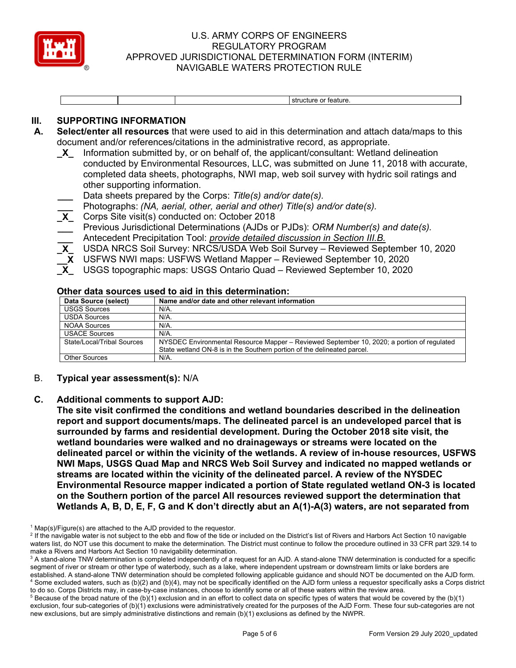

structure or feature.

# **III. SUPPORTING INFORMATION**

- **A. Select/enter all resources** that were used to aid in this determination and attach data/maps to this document and/or references/citations in the administrative record, as appropriate.
	- **\_X\_** Information submitted by, or on behalf of, the applicant/consultant: Wetland delineation conducted by Environmental Resources, LLC, was submitted on June 11, 2018 with accurate, completed data sheets, photographs, NWI map, web soil survey with hydric soil ratings and other supporting information.
	- **\_\_\_** Data sheets prepared by the Corps: *Title(s) and/or date(s).*
	- **\_\_\_** Photographs: *(NA, aerial, other, aerial and other) Title(s) and/or date(s).*
	- **\_X\_** Corps Site visit(s) conducted on: October 2018
	- **\_\_\_** Previous Jurisdictional Determinations (AJDs or PJDs): *ORM Number(s) and date(s).*
	- **\_\_\_** Antecedent Precipitation Tool: *provide detailed discussion in Section III.B.*
	- **\_X\_** USDA NRCS Soil Survey: NRCS/USDA Web Soil Survey Reviewed September 10, 2020
	- **\_\_X** USFWS NWI maps: USFWS Wetland Mapper Reviewed September 10, 2020
	- **\_X\_** USGS topographic maps: USGS Ontario Quad Reviewed September 10, 2020

#### **Other data sources used to aid in this determination:**

| Data Source (select)       | Name and/or date and other relevant information                                            |
|----------------------------|--------------------------------------------------------------------------------------------|
| <b>USGS Sources</b>        | N/A.                                                                                       |
| <b>USDA Sources</b>        | N/A.                                                                                       |
| <b>NOAA Sources</b>        | N/A.                                                                                       |
| <b>USACE Sources</b>       | N/A.                                                                                       |
| State/Local/Tribal Sources | NYSDEC Environmental Resource Mapper – Reviewed September 10, 2020; a portion of regulated |
|                            | State wetland ON-8 is in the Southern portion of the delineated parcel.                    |
| Other Sources              | N/A.                                                                                       |

B. **Typical year assessment(s):** N/A

#### **C. Additional comments to support AJD:**

**The site visit confirmed the conditions and wetland boundaries described in the delineation report and support documents/maps. The delineated parcel is an undeveloped parcel that is surrounded by farms and residential development. During the October 2018 site visit, the wetland boundaries were walked and no drainageways or streams were located on the delineated parcel or within the vicinity of the wetlands. A review of in-house resources, USFWS NWI Maps, USGS Quad Map and NRCS Web Soil Survey and indicated no mapped wetlands or streams are located within the vicinity of the delineated parcel. A review of the NYSDEC Environmental Resource mapper indicated a portion of State regulated wetland ON-3 is located on the Southern portion of the parcel All resources reviewed support the determination that Wetlands A, B, D, E, F, G and K don't directly abut an A(1)-A(3) waters, are not separated from** 

 $1$  Map(s)/Figure(s) are attached to the AJD provided to the requestor.

<sup>&</sup>lt;sup>2</sup> If the navigable water is not subject to the ebb and flow of the tide or included on the District's list of Rivers and Harbors Act Section 10 navigable waters list, do NOT use this document to make the determination. The District must continue to follow the procedure outlined in 33 CFR part 329.14 to make a Rivers and Harbors Act Section 10 navigability determination.

<sup>&</sup>lt;sup>3</sup> A stand-alone TNW determination is completed independently of a request for an AJD. A stand-alone TNW determination is conducted for a specific segment of river or stream or other type of waterbody, such as a lake, where independent upstream or downstream limits or lake borders are established. A stand-alone TNW determination should be completed following applicable guidance and should NOT be documented on the AJD form. <sup>4</sup> Some excluded waters, such as (b)(2) and (b)(4), may not be specifically identified on the AJD form unless a requestor specifically asks a Corps district to do so. Corps Districts may, in case-by-case instances, choose to identify some or all of these waters within the review area.

 $5$  Because of the broad nature of the (b)(1) exclusion and in an effort to collect data on specific types of waters that would be covered by the (b)(1) exclusion, four sub-categories of (b)(1) exclusions were administratively created for the purposes of the AJD Form. These four sub-categories are not new exclusions, but are simply administrative distinctions and remain (b)(1) exclusions as defined by the NWPR.